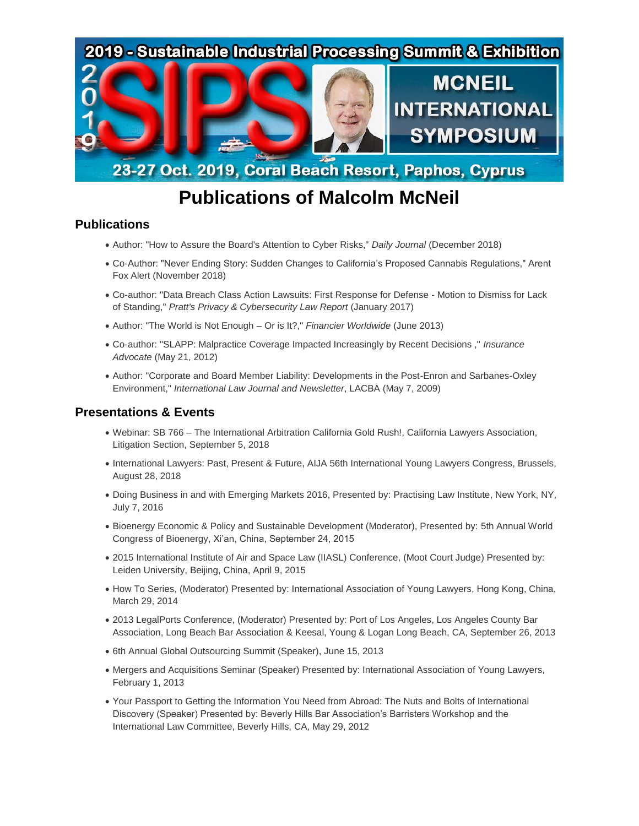

## **Publications of Malcolm McNeil**

## **Publications**

- Author: "How to Assure the Board's Attention to Cyber Risks," *Daily Journal* (December 2018)
- Co-Author: "Never Ending Story: Sudden Changes to California's Proposed Cannabis Regulations," Arent Fox Alert (November 2018)
- Co-author: "Data Breach Class Action Lawsuits: First Response for Defense Motion to Dismiss for Lack of Standing," *Pratt's Privacy & Cybersecurity Law Report* (January 2017)
- Author: "The World is Not Enough Or is It?," *Financier Worldwide* (June 2013)
- Co-author: "SLAPP: Malpractice Coverage Impacted Increasingly by Recent Decisions ," *Insurance Advocate* (May 21, 2012)
- Author: "Corporate and Board Member Liability: Developments in the Post-Enron and Sarbanes-Oxley Environment," *International Law Journal and Newsletter*, LACBA (May 7, 2009)

## **Presentations & Events**

- Webinar: SB 766 The International Arbitration California Gold Rush!, California Lawyers Association, Litigation Section, September 5, 2018
- International Lawyers: Past, Present & Future, AIJA 56th International Young Lawyers Congress, Brussels, August 28, 2018
- Doing Business in and with Emerging Markets 2016, Presented by: Practising Law Institute, New York, NY, July 7, 2016
- Bioenergy Economic & Policy and Sustainable Development (Moderator), Presented by: 5th Annual World Congress of Bioenergy, Xi'an, China, September 24, 2015
- 2015 International Institute of Air and Space Law (IIASL) Conference, (Moot Court Judge) Presented by: Leiden University, Beijing, China, April 9, 2015
- How To Series, (Moderator) Presented by: International Association of Young Lawyers, Hong Kong, China, March 29, 2014
- 2013 LegalPorts Conference, (Moderator) Presented by: Port of Los Angeles, Los Angeles County Bar Association, Long Beach Bar Association & Keesal, Young & Logan Long Beach, CA, September 26, 2013
- 6th Annual Global Outsourcing Summit (Speaker), June 15, 2013
- Mergers and Acquisitions Seminar (Speaker) Presented by: International Association of Young Lawyers, February 1, 2013
- Your Passport to Getting the Information You Need from Abroad: The Nuts and Bolts of International Discovery (Speaker) Presented by: Beverly Hills Bar Association's Barristers Workshop and the International Law Committee, Beverly Hills, CA, May 29, 2012